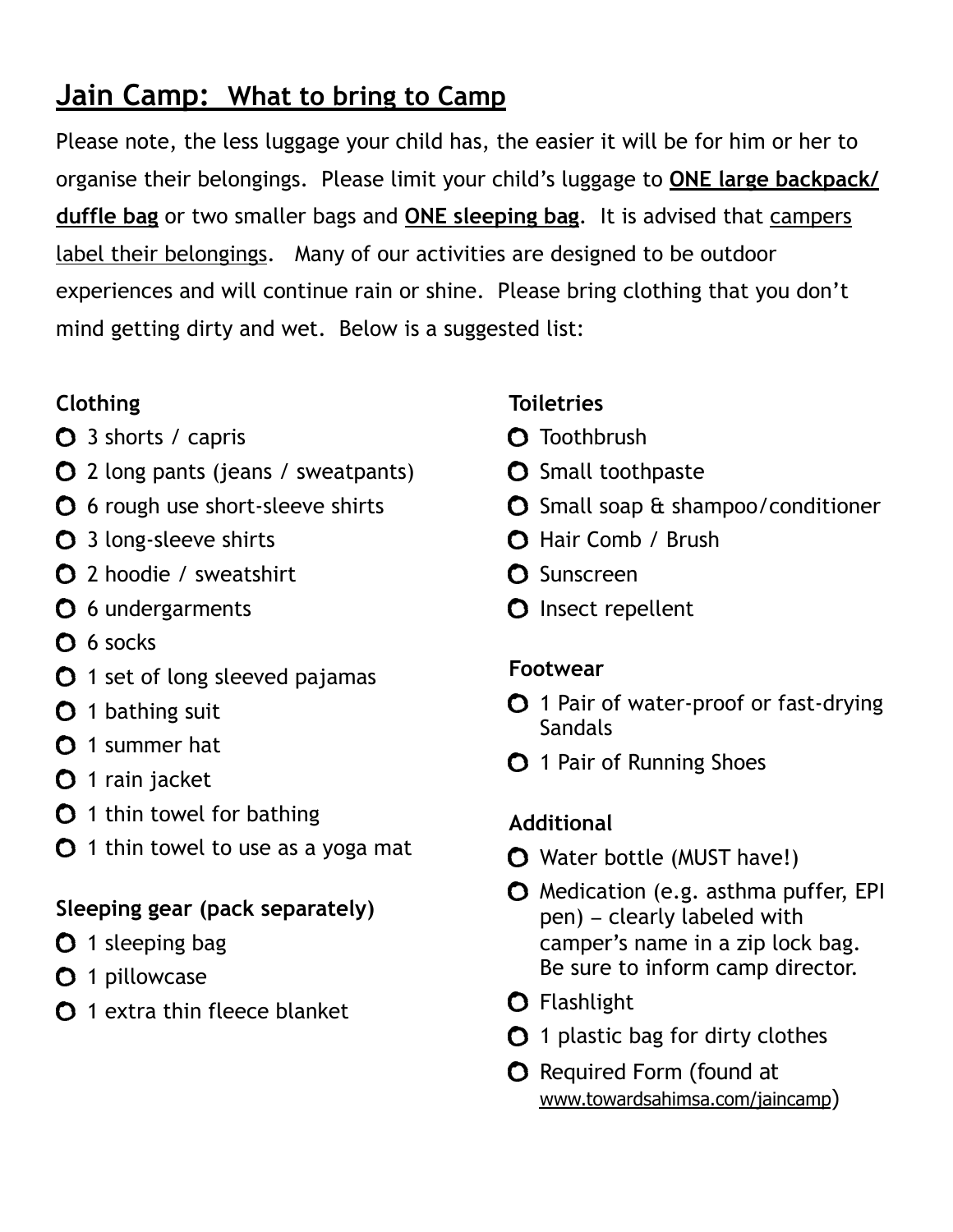# **Jain Camp: What to bring to Camp**

Please note, the less luggage your child has, the easier it will be for him or her to organise their belongings. Please limit your child's luggage to **ONE large backpack/ duffle bag** or two smaller bags and **ONE sleeping bag**. It is advised that campers label their belongings. Many of our activities are designed to be outdoor experiences and will continue rain or shine. Please bring clothing that you don't mind getting dirty and wet.Below is a suggested list:

#### **Clothing**

- $\bullet$  3 shorts / capris
- 2 long pants (jeans / sweatpants)
- **O** 6 rough use short-sleeve shirts
- **O** 3 long-sleeve shirts
- 2 hoodie / sweatshirt
- **O** 6 undergarments
- **O** 6 socks
- **0** 1 set of long sleeved pajamas
- **0** 1 bathing suit
- $\bullet$  1 summer hat
- **O** 1 rain jacket
- $\bullet$  1 thin towel for bathing
- $\bullet$  1 thin towel to use as a yoga mat

### **Sleeping gear (pack separately)**

- **O** 1 sleeping bag
- **O** 1 pillowcase
- $\Omega$  1 extra thin fleece blanket

### **Toiletries**

- **O** Toothbrush
- **O** Small toothpaste
- Small soap & shampoo/conditioner
- **O** Hair Comb / Brush
- **O** Sunscreen
- **O** Insect repellent

### **Footwear**

- **0** 1 Pair of water-proof or fast-drying **Sandals**
- **O** 1 Pair of Running Shoes

## **Additional**

- Water bottle (MUST have!)
- **O** Medication (e.g. asthma puffer, EPI pen) – clearly labeled with camper's name in a zip lock bag. Be sure to inform camp director.
- **O** Flashlight
- $O$  1 plastic bag for dirty clothes
- **O** Required Form (found at [www.towardsahimsa.com/jaincamp](http://www.towardsahimsa.com/jaincamp))